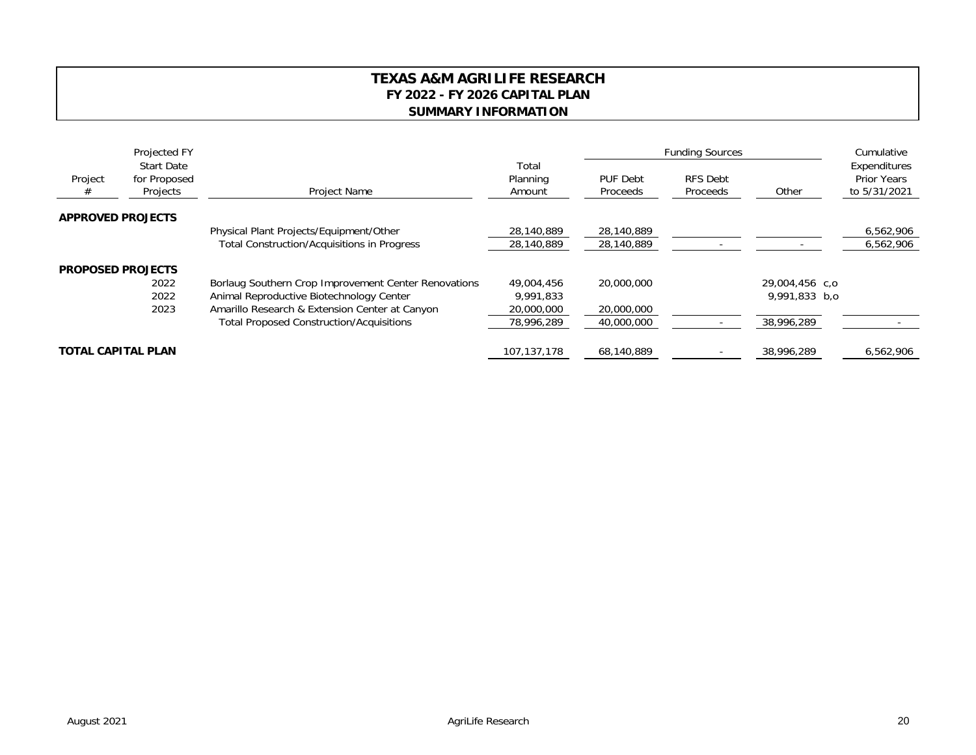## **TEXAS A&M AGRILIFE RESEARCH FY 2022 - FY 2026 CAPITAL PLAN SUMMARY INFORMATION**

| Project<br># | Projected FY<br><b>Start Date</b><br>for Proposed<br>Projects | Project Name                                         | Total<br>Planning<br>Amount | <b>Funding Sources</b>      |                             |                | Cumulative                                         |
|--------------|---------------------------------------------------------------|------------------------------------------------------|-----------------------------|-----------------------------|-----------------------------|----------------|----------------------------------------------------|
|              |                                                               |                                                      |                             | PUF Debt<br><b>Proceeds</b> | <b>RFS Debt</b><br>Proceeds | Other          | Expenditures<br><b>Prior Years</b><br>to 5/31/2021 |
|              | <b>APPROVED PROJECTS</b>                                      |                                                      |                             |                             |                             |                |                                                    |
|              |                                                               | Physical Plant Projects/Equipment/Other              | 28,140,889                  | 28,140,889                  |                             |                | 6,562,906                                          |
|              |                                                               | <b>Total Construction/Acquisitions in Progress</b>   | 28,140,889                  | 28,140,889                  |                             |                | 6,562,906                                          |
|              | <b>PROPOSED PROJECTS</b>                                      |                                                      |                             |                             |                             |                |                                                    |
|              | 2022                                                          | Borlaug Southern Crop Improvement Center Renovations | 49,004,456                  | 20,000,000                  |                             | 29,004,456 c,o |                                                    |
|              | 2022                                                          | Animal Reproductive Biotechnology Center             | 9,991,833                   |                             |                             | 9,991,833 b,o  |                                                    |
|              | 2023                                                          | Amarillo Research & Extension Center at Canyon       | 20,000,000                  | 20,000,000                  |                             |                |                                                    |
|              |                                                               | <b>Total Proposed Construction/Acquisitions</b>      | 78,996,289                  | 40,000,000                  |                             | 38,996,289     |                                                    |
|              | <b>TOTAL CAPITAL PLAN</b>                                     |                                                      | 107,137,178                 | 68,140,889                  |                             | 38,996,289     | 6,562,906                                          |